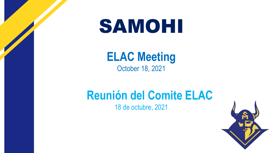# SAMOHI

#### **ELAC Meeting**  October 18, 2021

## **Reunión del Comite ELAC**

18 de octubre, 2021

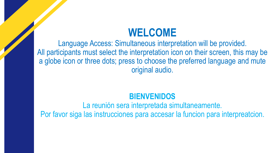#### **WELCOME**

Language Access: Simultaneous interpretation will be provided. All participants must select the interpretation icon on their screen, this may be a globe icon or three dots; press to choose the preferred language and mute original audio.

#### **BIENVENIDOS**

La reunión sera interpretada simultaneamente. Por favor siga las instrucciones para accesar la funcion para interpreatcion.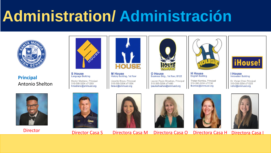# **Administration/ Administración**



**Principal** Antonio Shelton



**S** House **Language Building** Hector Medrano, Principal

310-395-3204 x71269 hmedrano@smmusd.org



**M** House **History Building, 1st floor** 

Lissette Bravo, Principal 310-395-3204 x71554 lbravo@smmusd.org



**O** House Business Bldg., 1st floor, B122

Lauren Paule Sheahan, Principal 310-395-3204 x71480 lpaulesheahan@smmusd.org



**English Building** 

Tristan Komlos, Principal

310-395-3204 x71136

tkomlos@smmusd.org

iHouse!

**House Innovation Building** 

Dr. Vivian Choi, Principal 310-395-3204 x71229 vchoi@smmusd.org













Director Director Casa S Directora Casa M Directora Casa O Directora Casa H Directora Casa I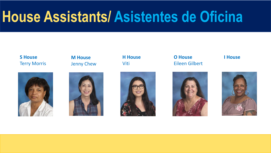# **House Assistants/ Asistentes de Oficina**

#### **S House** Terry Morris



**M House** Jenny Chew



**H House** Viti



**O House** Eileen Gilbert





**I House**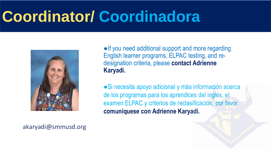# **Coordinator/ Coordinadora**



●If you need additional support and more regarding English learner programs, ELPAC testing, and redesignation criteria, please **contact Adrienne Karyadi.**

● Si necesita apoyo adicional y más información acerca de los programas para los aprendices del inglés, el examen ELPAC y criterios de reclasificación, por favor **comuníquese con Adrienne Karyadi.**

akaryadi@smmusd.org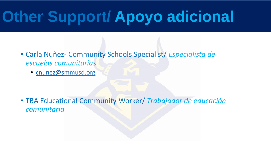# **Other Support/ Apoyo adicional**

- Carla Nuñez- Community Schools Specialist/ *Especialista de escuelas comunitarias*
	- [cnunez@smmusd.org](mailto:cnunez@smmusd.org)

• TBA Educational Community Worker/ *Trabajador de educación comunitaria*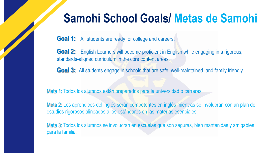## **Samohi School Goals/ Metas de Samohi**

**Goal 1:** All students are ready for college and careers.

Goal 2: English Learners will become proficient in English while engaging in a rigorous, standards-aligned curriculum in the core content areas.

Goal 3: All students engage in schools that are safe, well-maintained, and family friendly.

Meta 1: Todos los alumnos están preparados para la universidad o carreras

Meta 2: Los aprendices del inglés serán competentes en inglés mientras se involucran con un plan de estudios rigorosos alineados a los estándares en las materias esenciales.

Meta 3: Todos los alumnos se involucran en escuelas que son seguras, bien mantenidas y amigables para la familia.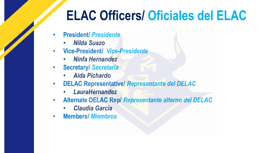# **ELAC Officers/ Oficiales del ELAC**

- **President/** *Presidente* 
	- *Nilda Suazo*
- **Vice-President/** *Vice-Presidente*
	- *Ninfa Hernandez*
- **Secretary/** *Secretaria*
	- *Aida Pichardo*
- **DELAC Representative/** *Representante del DELAC*
	- *LauraHernandez*
- **Alternate DELAC Rep/** *Representante alterno del DELAC*
	- *Claudia Garcia*
- **Members/** *Miembros*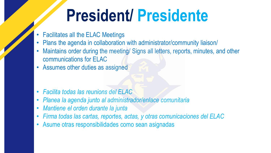# **President/ Presidente**

- Facilitates all the ELAC Meetings
- Plans the agenda in collaboration with administrator/community liaison/
- Maintains order during the meeting/ Signs all letters, reports, minutes, and other communications for ELAC
- Assumes other duties as assigned

- *Facilita todas las reunions del ELAC*
- *Planea la agenda junto al administrador/enlace comunitaria*
- *Mantiene el orden durante la junta*
- *Firma todas las cartas, reportes, actas, y otras comunicaciones del ELAC*
- Asume otras responsibilidades como sean asignadas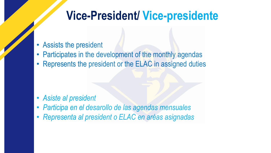## **Vice-President/ Vice-presidente**

- Assists the president
- Participates in the development of the monthly agendas
- Represents the president or the ELAC in assigned duties

- *Asiste al president*
- *Participa en el desarollo de las agendas mensuales*
- *Representa al president o ELAC en aréas asignadas*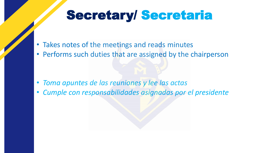## Secretary/ Secretaria

- Takes notes of the meetings and reads minutes
- Performs such duties that are assigned by the chairperson

- *Toma apuntes de las reuniones y lee las actas*
- *Cumple con responsabilidades asignadas por el presidente*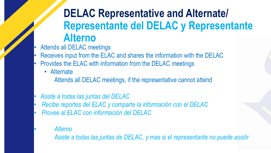### **DELAC Representative and Alternate/ Representante del DELAC y Representante Alterno**

- Attends all DELAC meetings
- Receives input from the ELAC and shares the information with the DELAC
- Provides the ELAC with information from the DELAC meetings
	- Alternate

Attends all DELAC meetings, if the representative cannot attend

- *Asiste a todas las juntas del DELAC*
- *Recibe reportes del ELAC y comparte la información con el DELAC*
- *Provee al ELAC con información del DELAC*
	- *Alterno*

*Asiste a todas las juntas de DELAC, y mas si el representante no puede asistir*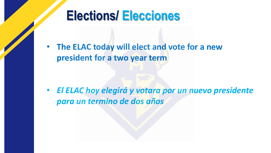# **Elections/ Elecciones**

• **The ELAC today will elect and vote for a new president for a two year term**

• *El ELAC hoy elegirá y votara por un nuevo presidente para un termino de dos años*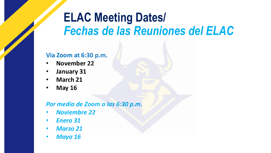## **ELAC Meeting Dates/**  *Fechas de las Reuniones del ELAC*

#### **Via Zoom at 6:30 p.m.**

- **November 22**
- **January 31**
- **March 21**
- **May 16**

#### *Por medio de Zoom a las 6:30 p.m.*

- *Noviembre 22*
- *Enero 31*
- *Marzo 21*
- *Mayo 16*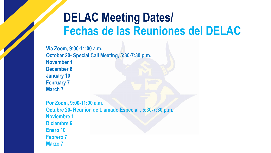## **DELAC Meeting Dates/ Fechas de las Reuniones del DELAC**

**Via Zoom, 9:00-11:00 a.m. October 20- Special Call Meeting, 5:30-7:30 p.m. November 1 December 6 January 10 February 7 March 7**

**Por Zoom, 9:00-11:00 a.m. Octubre 20- Reunion de Llamado Especial , 5:30-7:30 p.m. Noviembre 1 Diciembre 6 Enero 10 Febrero 7 Marzo 7**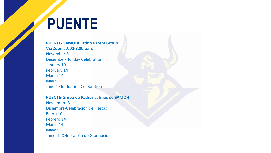# **PUENTE**

**PUENTE- SAMOHI Latino Parent Group Via Zoom, 7:00-8:00 p.m.** November 8 December-Holiday Celebration January 10 February 14 March 14 May 9 June 4-Graduation Celebration

#### **PUENTE-Grupo de Padres Latinos de SAMOHI**

Noviembre 8 Diciembre-Celebración de Fiestas Enero 10 Febrero 14 Marzo 14 Mayo 9 Junio 4- Celebración de Graduación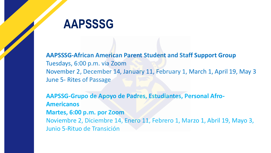### **AAPSSSG**

**AAPSSSG-African American Parent Student and Staff Support Group** Tuesdays, 6:00 p.m. via Zoom November 2, December 14, January 11, February 1, March 1, April 19, May 3 June 5- Rites of Passage

**AAPSSG-Grupo de Apoyo de Padres, Estudiantes, Personal Afro-Americanos Martes, 6:00 p.m. por Zoom** Noviembre 2, Diciembre 14, Enero 11, Febrero 1, Marzo 1, Abril 19, Mayo 3, Junio 5-Rituo de Transición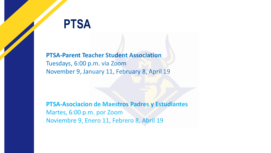### **PTSA**

**PTSA-Parent Teacher Student Association** Tuesdays, 6:00 p.m. via Zoom November 9, January 11, February 8, April 19

**PTSA-Asociacion de Maestros Padres y Estudiantes** Martes, 6:00 p.m. por Zoom Noviembre 9, Enero 11, Febrero 8, Abril 19